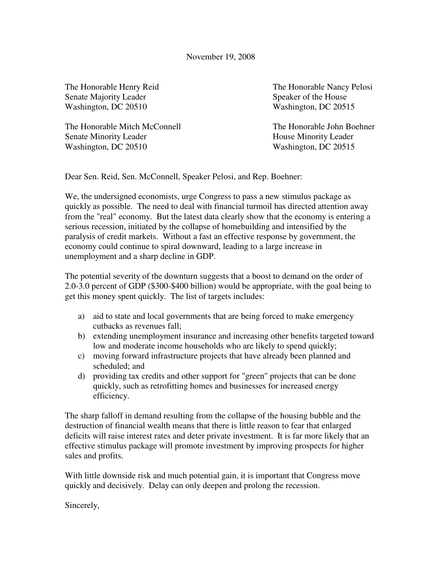Senate Majority Leader Speaker of the House Washington, DC 20510 Washington, DC 20515

The Honorable Mitch McConnell The Honorable John Boehner Senate Minority Leader **House Minority Leader House Minority Leader** Washington, DC 20510 Washington, DC 20515

The Honorable Henry Reid The Honorable Nancy Pelosi

Dear Sen. Reid, Sen. McConnell, Speaker Pelosi, and Rep. Boehner:

We, the undersigned economists, urge Congress to pass a new stimulus package as quickly as possible. The need to deal with financial turmoil has directed attention away from the "real" economy. But the latest data clearly show that the economy is entering a serious recession, initiated by the collapse of homebuilding and intensified by the paralysis of credit markets. Without a fast an effective response by government, the economy could continue to spiral downward, leading to a large increase in unemployment and a sharp decline in GDP.

The potential severity of the downturn suggests that a boost to demand on the order of 2.0-3.0 percent of GDP (\$300-\$400 billion) would be appropriate, with the goal being to get this money spent quickly. The list of targets includes:

- a) aid to state and local governments that are being forced to make emergency cutbacks as revenues fall;
- b) extending unemployment insurance and increasing other benefits targeted toward low and moderate income households who are likely to spend quickly;
- c) moving forward infrastructure projects that have already been planned and scheduled; and
- d) providing tax credits and other support for "green" projects that can be done quickly, such as retrofitting homes and businesses for increased energy efficiency.

The sharp falloff in demand resulting from the collapse of the housing bubble and the destruction of financial wealth means that there is little reason to fear that enlarged deficits will raise interest rates and deter private investment. It is far more likely that an effective stimulus package will promote investment by improving prospects for higher sales and profits.

With little downside risk and much potential gain, it is important that Congress move quickly and decisively. Delay can only deepen and prolong the recession.

Sincerely,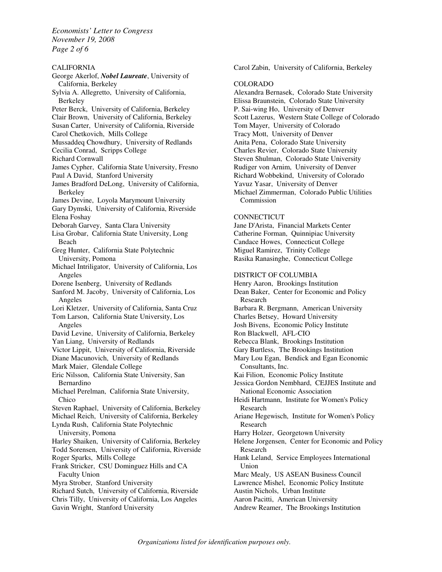*Economists' Letter to Congress November 19, 2008 Page 2 of 6* 

CALIFORNIA George Akerlof, *Nobel Laureate*, University of California, Berkeley Sylvia A. Allegretto, University of California, Berkeley Peter Berck, University of California, Berkeley Clair Brown, University of California, Berkeley Susan Carter, University of California, Riverside Carol Chetkovich, Mills College Mussaddeq Chowdhury, University of Redlands Cecilia Conrad, Scripps College Richard Cornwall James Cypher, California State University, Fresno Paul A David, Stanford University James Bradford DeLong, University of California, Berkeley James Devine, Loyola Marymount University Gary Dymski, University of California, Riverside Elena Foshay Deborah Garvey, Santa Clara University Lisa Grobar, California State University, Long Beach Greg Hunter, California State Polytechnic University, Pomona Michael Intriligator, University of California, Los Angeles Dorene Isenberg, University of Redlands Sanford M. Jacoby, University of California, Los Angeles Lori Kletzer, University of California, Santa Cruz Tom Larson, California State University, Los Angeles David Levine, University of California, Berkeley Yan Liang, University of Redlands Victor Lippit, University of California, Riverside Diane Macunovich, University of Redlands Mark Maier, Glendale College Eric Nilsson, California State University, San Bernardino Michael Perelman, California State University, Chico Steven Raphael, University of California, Berkeley Michael Reich, University of California, Berkeley Lynda Rush, California State Polytechnic University, Pomona Harley Shaiken, University of California, Berkeley Todd Sorensen, University of California, Riverside Roger Sparks, Mills College Frank Stricker, CSU Dominguez Hills and CA Faculty Union Myra Strober, Stanford University Richard Sutch, University of California, Riverside Chris Tilly, University of California, Los Angeles Gavin Wright, Stanford University

Carol Zabin, University of California, Berkeley

## COLORADO

Alexandra Bernasek, Colorado State University Elissa Braunstein, Colorado State University P. Sai-wing Ho, University of Denver Scott Lazerus, Western State College of Colorado Tom Mayer, University of Colorado Tracy Mott, University of Denver Anita Pena, Colorado State University Charles Revier, Colorado State University Steven Shulman, Colorado State University Rudiger von Arnim, University of Denver Richard Wobbekind, University of Colorado Yavuz Yasar, University of Denver Michael Zimmerman, Colorado Public Utilities Commission

#### **CONNECTICUT**

Jane D'Arista, Financial Markets Center Catherine Forman, Quinnipiac University Candace Howes, Connecticut College Miguel Ramirez, Trinity College Rasika Ranasinghe, Connecticut College

# DISTRICT OF COLUMBIA

Henry Aaron, Brookings Institution Dean Baker, Center for Economic and Policy Research Barbara R. Bergmann, American University Charles Betsey, Howard University Josh Bivens, Economic Policy Institute Ron Blackwell, AFL-CIO Rebecca Blank, Brookings Institution Gary Burtless, The Brookings Institution Mary Lou Egan, Bendick and Egan Economic Consultants, Inc. Kai Filion, Economic Policy Institute Jessica Gordon Nembhard, CEJJES Institute and National Economic Association Heidi Hartmann, Institute for Women's Policy Research Ariane Hegewisch, Institute for Women's Policy Research Harry Holzer, Georgetown University Helene Jorgensen, Center for Economic and Policy Research Hank Leland, Service Employees International Union Marc Mealy, US ASEAN Business Council Lawrence Mishel, Economic Policy Institute Austin Nichols, Urban Institute Aaron Pacitti, American University Andrew Reamer, The Brookings Institution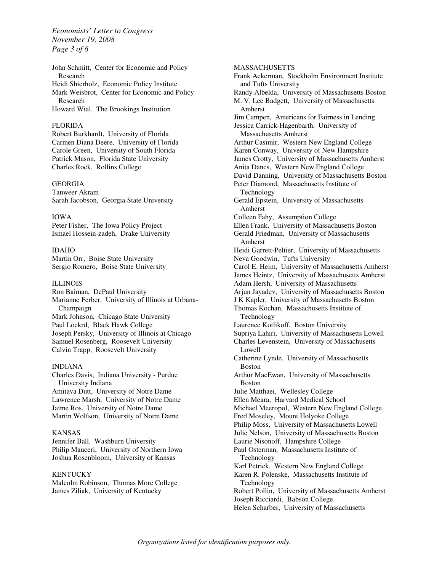*Economists' Letter to Congress November 19, 2008 Page 3 of 6* 

John Schmitt, Center for Economic and Policy Research Heidi Shierholz, Economic Policy Institute Mark Weisbrot, Center for Economic and Policy Research Howard Wial, The Brookings Institution

## FLORIDA

Robert Burkhardt, University of Florida Carmen Diana Deere, University of Florida Carole Green, University of South Florida Patrick Mason, Florida State University Charles Rock, Rollins College

# GEORGIA

Tanweer Akram Sarah Jacobson, Georgia State University

#### IOWA

Peter Fisher, The Iowa Policy Project Ismael Hossein-zadeh, Drake University

# IDAHO

Martin Orr, Boise State University Sergio Romero, Boise State University

### ILLINOIS

Ron Baiman, DePaul University Marianne Ferber, University of Illinois at Urbana-Champaign Mark Johnson, Chicago State University Paul Lockrd, Black Hawk College Joseph Persky, University of Illinois at Chicago Samuel Rosenberg, Roosevelt University Calvin Trapp, Roosevelt University

### INDIANA

Charles Davis, Indiana University - Purdue University Indiana Amitava Dutt, University of Notre Dame Lawrence Marsh, University of Notre Dame Jaime Ros, University of Notre Dame Martin Wolfson, University of Notre Dame

# KANSAS

Jennifer Ball, Washburn University Philip Mauceri, University of Northern Iowa Joshua Rosenbloom, University of Kansas

### **KENTUCKY**

Malcolm Robinson, Thomas More College James Ziliak, University of Kentucky

**MASSACHUSETTS** Frank Ackerman, Stockholm Environment Institute and Tufts University Randy Albelda, University of Massachusetts Boston M. V. Lee Badgett, University of Massachusetts Amherst Jim Campen, Americans for Fairness in Lending Jessica Carrick-Hagenbarth, University of Massachusetts Amherst Arthur Casimir, Western New England College Karen Conway, University of New Hampshire James Crotty, University of Massachusetts Amherst Anita Dancs, Western New England College David Danning, University of Massachusetts Boston Peter Diamond, Massachusetts Institute of Technology Gerald Epstein, University of Massachusetts Amherst Colleen Fahy, Assumption College Ellen Frank, University of Massachusetts Boston Gerald Friedman, University of Massachusetts Amherst Heidi Garrett-Peltier, University of Massachusetts Neva Goodwin, Tufts University Carol E. Heim, University of Massachusetts Amherst James Heintz, University of Massachusetts Amherst Adam Hersh, University of Massachusetts Arjun Jayadev, University of Massachusetts Boston J K Kapler, University of Massachusetts Boston Thomas Kochan, Massachusetts Institute of Technology Laurence Kotlikoff, Boston University Supriya Lahiri, University of Massachusetts Lowell Charles Levenstein, University of Massachusetts Lowell Catherine Lynde, University of Massachusetts Boston Arthur MacEwan, University of Massachusetts Boston Julie Matthaei, Wellesley College Ellen Meara, Harvard Medical School Michael Meeropol, Western New England College Fred Moseley, Mount Holyoke College Philip Moss, University of Massachusetts Lowell Julie Nelson, University of Massachusetts Boston Laurie Nisonoff, Hampshire College Paul Osterman, Massachusetts Institute of Technology Karl Petrick, Western New England College Karen R. Polenske, Massachusetts Institute of Technology Robert Pollin, University of Massachusetts Amherst Joseph Ricciardi, Babson College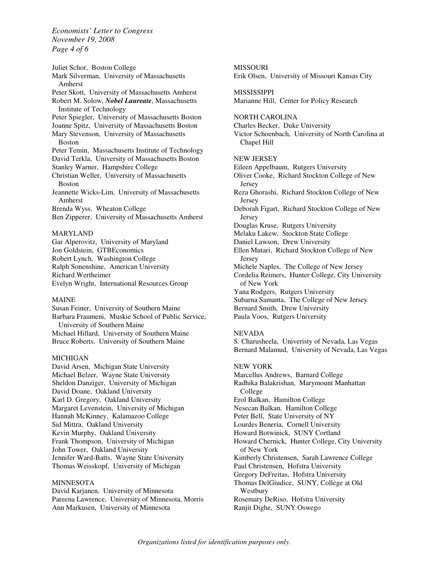*Economists' Letter to Congress November 19, 2008 Page 4 of 6* 

Juliet Schor, Boston College Mark Silverman, University of Massachusetts Amherst Peter Skott, University of Massachusetts Amherst Robert M. Solow, *Nobel Laureate*, Massachusetts Institute of Technology Peter Spiegler, University of Massachusetts Boston Joanne Spitz, University of Massachusetts Boston Mary Stevenson, University of Massachusetts Boston Peter Temin, Massachusetts Institute of Technology David Terkla, University of Massachusetts Boston Stanley Warner, Hampshire College Christian Weller, University of Massachusetts Boston Jeannette Wicks-Lim, University of Massachusetts Amherst Brenda Wyss, Wheaton College Ben Zipperer, University of Massachusetts Amherst

## MARYLAND

Gar Alperovitz, University of Maryland Jon Goldstein, GTBEconomics Robert Lynch, Washington College Ralph Sonenshine, American University Richard Wertheimer Evelyn Wright, International Resources Group

## MAINE

Susan Feiner, University of Southern Maine Barbara Fraumeni, Muskie School of Public Service, University of Southern Maine Michael Hillard, University of Southern Maine Bruce Roberts, University of Southern Maine

### MICHIGAN

David Arsen, Michigan State University Michael Belzer, Wayne State University Sheldon Danziger, University of Michigan David Doane, Oakland University Karl D. Gregory, Oakland University Margaret Levenstein, University of Michigan Hannah McKinney, Kalamazoo College Sid Mittra, Oakland University Kevin Murphy, Oakland University Frank Thompson, University of Michigan John Tower, Oakland University Jennifer Ward-Batts, Wayne State University Thomas Weisskopf, University of Michigan

### MINNESOTA

David Karjanen, University of Minnesota Pareena Lawrence, University of Minnesota, Morris Ann Markusen, University of Minnesota

MISSOURI Erik Olsen, University of Missouri Kansas City MISSISSIPPI Marianne Hill, Center for Policy Research NORTH CAROLINA Charles Becker, Duke University Victor Schoenbach, University of North Carolina at Chapel Hill NEW JERSEY Eileen Appelbaum, Rutgers University Oliver Cooke, Richard Stockton College of New Jersey Reza Ghorashi, Richard Stockton College of New Jersey Deborah Figart, Richard Stockton College of New Jersey Douglas Kruse, Rutgers University Melaku Lakew, Stockton State College Daniel Lawson, Drew University Ellen Mutari, Richard Stockton College of New Jersey Michele Naples, The College of New Jersey Cordelia Reimers, Hunter College, City University of New York Yana Rodgers, Rutgers University Subarna Samanta, The College of New Jersey Bernard Smith, Drew University Paula Voos, Rutgers University

### NEVADA

S. Charusheela, Univeristy of Nevada, Las Vegas Bernard Malamud, University of Nevada, Las Vegas

NEW YORK Marcellus Andrews, Barnard College Radhika Balakrishan, Marymount Manhattan College Erol Balkan, Hamilton College Nesecan Balkan, Hamilton College Peter Bell, State University of NY Lourdes Beneria, Cornell University Howard Botwinick, SUNY Cortland Howard Chernick, Hunter College, City University of New York Kimberly Christensen, Sarah Lawrence College Paul Christensen, Hofstra University Gregory DeFreitas, Hofstra University Thomas DelGiudice, SUNY, College at Old Westbury Rosemary DeRiso, Hofstra University Ranjit Dighe, SUNY Oswego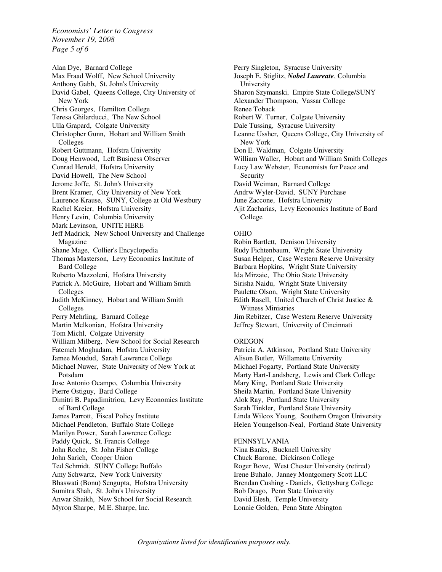*Economists' Letter to Congress November 19, 2008 Page 5 of 6* 

Alan Dye, Barnard College Max Fraad Wolff, New School University Anthony Gabb, St. John's University David Gabel, Queens College, City University of New York Chris Georges, Hamilton College Teresa Ghilarducci, The New School Ulla Grapard, Colgate University Christopher Gunn, Hobart and William Smith Colleges Robert Guttmann, Hofstra University Doug Henwood, Left Business Observer Conrad Herold, Hofstra University David Howell, The New School Jerome Joffe, St. John's University Brent Kramer, City University of New York Laurence Krause, SUNY, College at Old Westbury Rachel Kreier, Hofstra University Henry Levin, Columbia University Mark Levinson, UNITE HERE Jeff Madrick, New School University and Challenge Magazine Shane Mage, Collier's Encyclopedia Thomas Masterson, Levy Economics Institute of Bard College Roberto Mazzoleni, Hofstra University Patrick A. McGuire, Hobart and William Smith Colleges Judith McKinney, Hobart and William Smith Colleges Perry Mehrling, Barnard College Martin Melkonian, Hofstra University Tom Michl, Colgate University William Milberg, New School for Social Research Fatemeh Moghadam, Hofstra University Jamee Moudud, Sarah Lawrence College Michael Nuwer, State University of New York at Potsdam Jose Antonio Ocampo, Columbia University Pierre Ostiguy, Bard College Dimitri B. Papadimitriou, Levy Economics Institute of Bard College James Parrott, Fiscal Policy Institute Michael Pendleton, Buffalo State College Marilyn Power, Sarah Lawrence College Paddy Quick, St. Francis College John Roche, St. John Fisher College John Sarich, Cooper Union Ted Schmidt, SUNY College Buffalo Amy Schwartz, New York University Bhaswati (Bonu) Sengupta, Hofstra University Sumitra Shah, St. John's University Anwar Shaikh, New School for Social Research Myron Sharpe, M.E. Sharpe, Inc.

Perry Singleton, Syracuse University Joseph E. Stiglitz, *Nobel Laureate*, Columbia University Sharon Szymanski, Empire State College/SUNY Alexander Thompson, Vassar College Renee Toback Robert W. Turner, Colgate University Dale Tussing, Syracuse University Leanne Ussher, Queens College, City University of New York Don E. Waldman, Colgate University William Waller, Hobart and William Smith Colleges Lucy Law Webster, Economists for Peace and Security David Weiman, Barnard College Andrw Wyler-David, SUNY Purchase June Zaccone, Hofstra University Ajit Zacharias, Levy Economics Institute of Bard College

### OHIO

Robin Bartlett, Denison University Rudy Fichtenbaum, Wright State University Susan Helper, Case Western Reserve University Barbara Hopkins, Wright State University Ida Mirzaie, The Ohio State University Sirisha Naidu, Wright State University Paulette Olson, Wright State University Edith Rasell, United Church of Christ Justice & Witness Ministries Jim Rebitzer, Case Western Reserve University Jeffrey Stewart, University of Cincinnati

## **OREGON**

Patricia A. Atkinson, Portland State University Alison Butler, Willamette University Michael Fogarty, Portland State University Marty Hart-Landsberg, Lewis and Clark College Mary King, Portland State University Sheila Martin, Portland State University Alok Ray, Portland State University Sarah Tinkler, Portland State University Linda Wilcox Young, Southern Oregon University Helen Youngelson-Neal, Portland State University

# PENNSYLVANIA

Nina Banks, Bucknell University Chuck Barone, Dickinson College Roger Bove, West Chester University (retired) Irene Buhalo, Janney Montgomery Scott LLC Brendan Cushing - Daniels, Gettysburg College Bob Drago, Penn State University David Elesh, Temple University Lonnie Golden, Penn State Abington